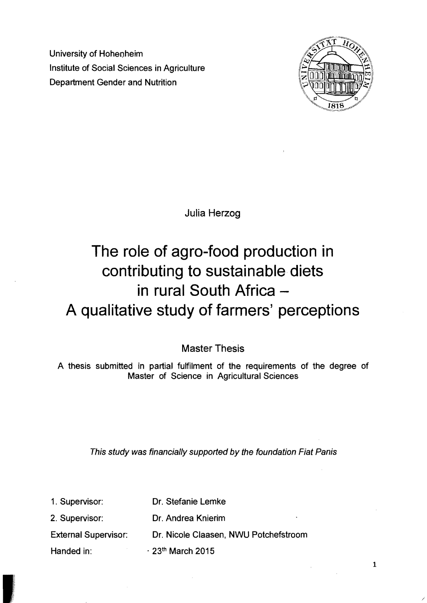University of Hoheoheim Institute of Social Sciences in Agriculture Department Gender and Nutrition



Julia Herzog

## **The role of agro-food production in contributing to sustainable diets in rural South Africa A qualitative study of farmers' perceptions**

Master Thesis

A thesis submitted in partial fulfilment of the requirements of the degree of Master of Science in Agricultural Sciences

This study was financially supported by the foundation Fiat Panis

| 1. Supervisor:              | Dr. Stefanie Lemke                    |
|-----------------------------|---------------------------------------|
| 2. Supervisor:              | Dr. Andrea Knierim<br>٠               |
| <b>External Supervisor:</b> | Dr. Nicole Claasen, NWU Potchefstroom |
| Handed in:                  | $\cdot$ 23 <sup>th</sup> March 2015   |

1